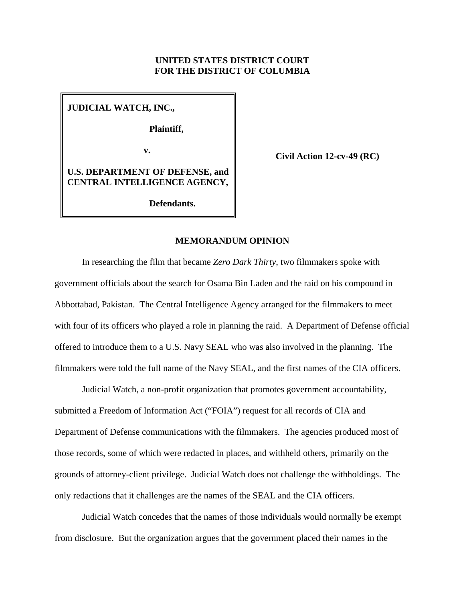# **UNITED STATES DISTRICT COURT FOR THE DISTRICT OF COLUMBIA**

**JUDICIAL WATCH, INC.,** 

**Plaintiff,**

**v.** 

**Civil Action 12-cv-49 (RC)**

**U.S. DEPARTMENT OF DEFENSE, and CENTRAL INTELLIGENCE AGENCY,**

**Defendants.**

### **MEMORANDUM OPINION**

In researching the film that became *Zero Dark Thirty*, two filmmakers spoke with government officials about the search for Osama Bin Laden and the raid on his compound in Abbottabad, Pakistan. The Central Intelligence Agency arranged for the filmmakers to meet with four of its officers who played a role in planning the raid. A Department of Defense official offered to introduce them to a U.S. Navy SEAL who was also involved in the planning. The filmmakers were told the full name of the Navy SEAL, and the first names of the CIA officers.

Judicial Watch, a non-profit organization that promotes government accountability, submitted a Freedom of Information Act ("FOIA") request for all records of CIA and Department of Defense communications with the filmmakers. The agencies produced most of those records, some of which were redacted in places, and withheld others, primarily on the grounds of attorney-client privilege. Judicial Watch does not challenge the withholdings. The only redactions that it challenges are the names of the SEAL and the CIA officers.

Judicial Watch concedes that the names of those individuals would normally be exempt from disclosure. But the organization argues that the government placed their names in the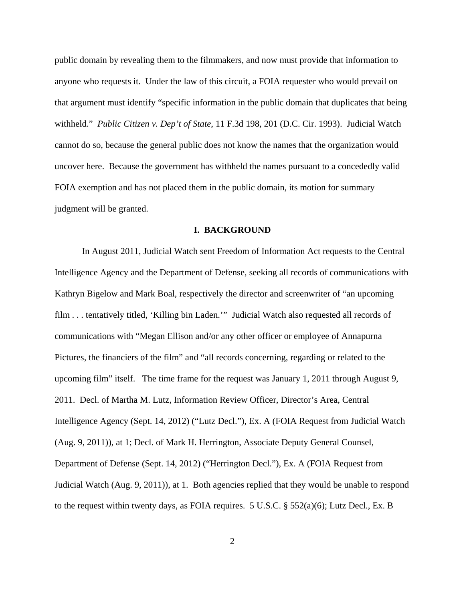public domain by revealing them to the filmmakers, and now must provide that information to anyone who requests it. Under the law of this circuit, a FOIA requester who would prevail on that argument must identify "specific information in the public domain that duplicates that being withheld." *Public Citizen v. Dep't of State*, 11 F.3d 198, 201 (D.C. Cir. 1993). Judicial Watch cannot do so, because the general public does not know the names that the organization would uncover here. Because the government has withheld the names pursuant to a concededly valid FOIA exemption and has not placed them in the public domain, its motion for summary judgment will be granted.

### **I. BACKGROUND**

In August 2011, Judicial Watch sent Freedom of Information Act requests to the Central Intelligence Agency and the Department of Defense, seeking all records of communications with Kathryn Bigelow and Mark Boal, respectively the director and screenwriter of "an upcoming film . . . tentatively titled, 'Killing bin Laden.'" Judicial Watch also requested all records of communications with "Megan Ellison and/or any other officer or employee of Annapurna Pictures, the financiers of the film" and "all records concerning, regarding or related to the upcoming film" itself. The time frame for the request was January 1, 2011 through August 9, 2011. Decl. of Martha M. Lutz, Information Review Officer, Director's Area, Central Intelligence Agency (Sept. 14, 2012) ("Lutz Decl."), Ex. A (FOIA Request from Judicial Watch (Aug. 9, 2011)), at 1; Decl. of Mark H. Herrington, Associate Deputy General Counsel, Department of Defense (Sept. 14, 2012) ("Herrington Decl."), Ex. A (FOIA Request from Judicial Watch (Aug. 9, 2011)), at 1. Both agencies replied that they would be unable to respond to the request within twenty days, as FOIA requires. 5 U.S.C. § 552(a)(6); Lutz Decl., Ex. B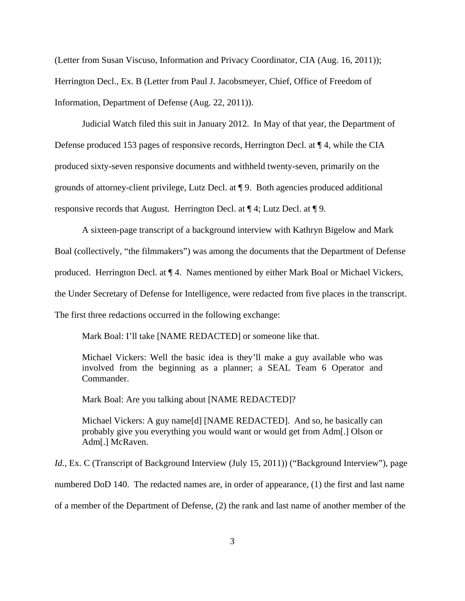(Letter from Susan Viscuso, Information and Privacy Coordinator, CIA (Aug. 16, 2011)); Herrington Decl., Ex. B (Letter from Paul J. Jacobsmeyer, Chief, Office of Freedom of Information, Department of Defense (Aug. 22, 2011)).

Judicial Watch filed this suit in January 2012. In May of that year, the Department of Defense produced 153 pages of responsive records, Herrington Decl. at ¶ 4, while the CIA produced sixty-seven responsive documents and withheld twenty-seven, primarily on the grounds of attorney-client privilege, Lutz Decl. at ¶ 9. Both agencies produced additional responsive records that August. Herrington Decl. at ¶ 4; Lutz Decl. at ¶ 9.

A sixteen-page transcript of a background interview with Kathryn Bigelow and Mark Boal (collectively, "the filmmakers") was among the documents that the Department of Defense produced. Herrington Decl. at ¶ 4. Names mentioned by either Mark Boal or Michael Vickers, the Under Secretary of Defense for Intelligence, were redacted from five places in the transcript. The first three redactions occurred in the following exchange:

Mark Boal: I'll take [NAME REDACTED] or someone like that.

Michael Vickers: Well the basic idea is they'll make a guy available who was involved from the beginning as a planner; a SEAL Team 6 Operator and Commander.

Mark Boal: Are you talking about [NAME REDACTED]?

Michael Vickers: A guy name[d] [NAME REDACTED]. And so, he basically can probably give you everything you would want or would get from Adm[.] Olson or Adm[.] McRaven.

*Id.*, Ex. C (Transcript of Background Interview (July 15, 2011)) ("Background Interview"), page numbered DoD 140. The redacted names are, in order of appearance, (1) the first and last name of a member of the Department of Defense, (2) the rank and last name of another member of the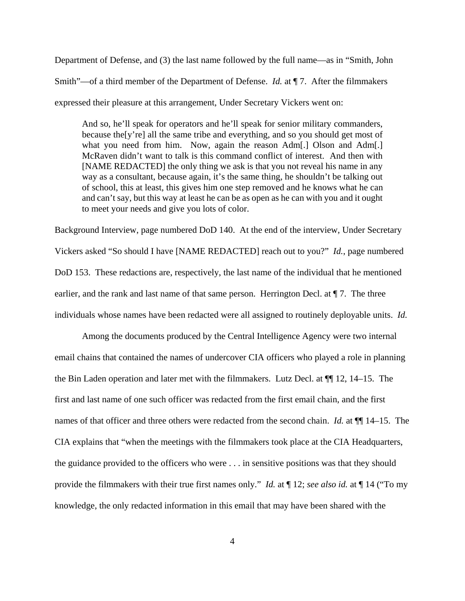Department of Defense, and (3) the last name followed by the full name—as in "Smith, John Smith"—of a third member of the Department of Defense. *Id.* at ¶ 7. After the filmmakers expressed their pleasure at this arrangement, Under Secretary Vickers went on:

And so, he'll speak for operators and he'll speak for senior military commanders, because the[y're] all the same tribe and everything, and so you should get most of what you need from him. Now, again the reason Adm[.] Olson and Adm[.] McRaven didn't want to talk is this command conflict of interest. And then with [NAME REDACTED] the only thing we ask is that you not reveal his name in any way as a consultant, because again, it's the same thing, he shouldn't be talking out of school, this at least, this gives him one step removed and he knows what he can and can't say, but this way at least he can be as open as he can with you and it ought to meet your needs and give you lots of color.

Background Interview, page numbered DoD 140. At the end of the interview, Under Secretary Vickers asked "So should I have [NAME REDACTED] reach out to you?" *Id.*, page numbered DoD 153. These redactions are, respectively, the last name of the individual that he mentioned earlier, and the rank and last name of that same person. Herrington Decl. at  $\P$  7. The three individuals whose names have been redacted were all assigned to routinely deployable units. *Id.*

Among the documents produced by the Central Intelligence Agency were two internal email chains that contained the names of undercover CIA officers who played a role in planning the Bin Laden operation and later met with the filmmakers. Lutz Decl. at ¶¶ 12, 14–15. The first and last name of one such officer was redacted from the first email chain, and the first names of that officer and three others were redacted from the second chain. *Id.* at ¶¶ 14–15. The CIA explains that "when the meetings with the filmmakers took place at the CIA Headquarters, the guidance provided to the officers who were . . . in sensitive positions was that they should provide the filmmakers with their true first names only." *Id.* at ¶ 12; *see also id.* at ¶ 14 ("To my knowledge, the only redacted information in this email that may have been shared with the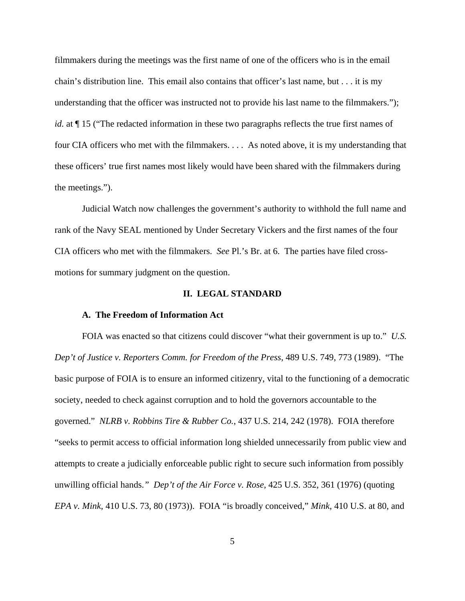filmmakers during the meetings was the first name of one of the officers who is in the email chain's distribution line. This email also contains that officer's last name, but . . . it is my understanding that the officer was instructed not to provide his last name to the filmmakers."); *id.* at  $\P$  15 ("The redacted information in these two paragraphs reflects the true first names of four CIA officers who met with the filmmakers. . . . As noted above, it is my understanding that these officers' true first names most likely would have been shared with the filmmakers during the meetings.").

Judicial Watch now challenges the government's authority to withhold the full name and rank of the Navy SEAL mentioned by Under Secretary Vickers and the first names of the four CIA officers who met with the filmmakers. *See* Pl.'s Br. at 6. The parties have filed crossmotions for summary judgment on the question.

#### **II. LEGAL STANDARD**

#### **A. The Freedom of Information Act**

FOIA was enacted so that citizens could discover "what their government is up to." *U.S. Dep't of Justice v. Reporters Comm. for Freedom of the Press*, 489 U.S. 749, 773 (1989). "The basic purpose of FOIA is to ensure an informed citizenry, vital to the functioning of a democratic society, needed to check against corruption and to hold the governors accountable to the governed." *NLRB v. Robbins Tire & Rubber Co.*, 437 U.S. 214, 242 (1978). FOIA therefore "seeks to permit access to official information long shielded unnecessarily from public view and attempts to create a judicially enforceable public right to secure such information from possibly unwilling official hands.*" Dep't of the Air Force v. Rose*, 425 U.S. 352, 361 (1976) (quoting *EPA v. Mink*, 410 U.S. 73, 80 (1973)). FOIA "is broadly conceived," *Mink*, 410 U.S. at 80, and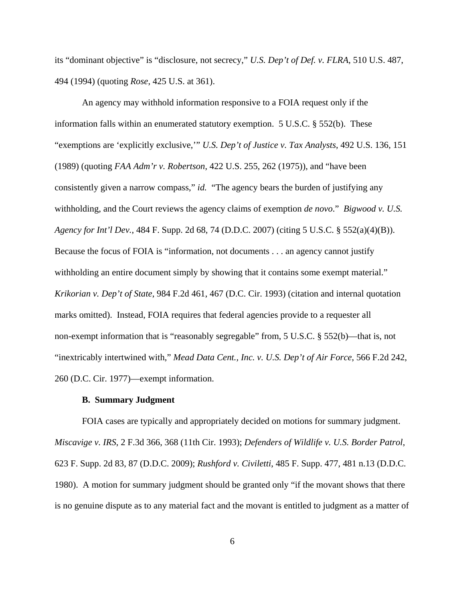its "dominant objective" is "disclosure, not secrecy," *U.S. Dep't of Def. v. FLRA*, 510 U.S. 487, 494 (1994) (quoting *Rose*, 425 U.S. at 361).

An agency may withhold information responsive to a FOIA request only if the information falls within an enumerated statutory exemption. 5 U.S.C. § 552(b). These "exemptions are 'explicitly exclusive,'" *U.S. Dep't of Justice v. Tax Analysts*, 492 U.S. 136, 151 (1989) (quoting *FAA Adm'r v. Robertson*, 422 U.S. 255, 262 (1975)), and "have been consistently given a narrow compass," *id.* "The agency bears the burden of justifying any withholding, and the Court reviews the agency claims of exemption *de novo*." *Bigwood v. U.S. Agency for Int'l Dev.*, 484 F. Supp. 2d 68, 74 (D.D.C. 2007) (citing 5 U.S.C. § 552(a)(4)(B)). Because the focus of FOIA is "information, not documents . . . an agency cannot justify withholding an entire document simply by showing that it contains some exempt material." *Krikorian v. Dep't of State*, 984 F.2d 461, 467 (D.C. Cir. 1993) (citation and internal quotation marks omitted). Instead, FOIA requires that federal agencies provide to a requester all non-exempt information that is "reasonably segregable" from, 5 U.S.C. § 552(b)—that is, not "inextricably intertwined with," *Mead Data Cent., Inc. v. U.S. Dep't of Air Force*, 566 F.2d 242, 260 (D.C. Cir. 1977)—exempt information.

#### **B. Summary Judgment**

FOIA cases are typically and appropriately decided on motions for summary judgment. *Miscavige v. IRS*, 2 F.3d 366, 368 (11th Cir. 1993); *Defenders of Wildlife v. U.S. Border Patrol*, 623 F. Supp. 2d 83, 87 (D.D.C. 2009); *Rushford v. Civiletti*, 485 F. Supp. 477, 481 n.13 (D.D.C. 1980). A motion for summary judgment should be granted only "if the movant shows that there is no genuine dispute as to any material fact and the movant is entitled to judgment as a matter of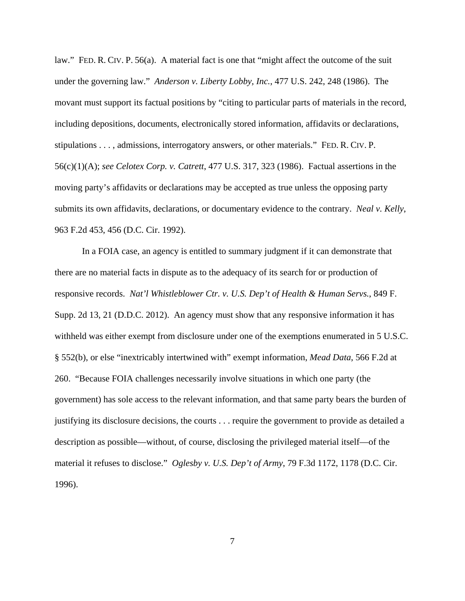law." FED. R. CIV. P. 56(a). A material fact is one that "might affect the outcome of the suit under the governing law." *Anderson v. Liberty Lobby, Inc.*, 477 U.S. 242, 248 (1986). The movant must support its factual positions by "citing to particular parts of materials in the record, including depositions, documents, electronically stored information, affidavits or declarations, stipulations . . . , admissions, interrogatory answers, or other materials." FED. R. CIV. P. 56(c)(1)(A); *see Celotex Corp. v. Catrett*, 477 U.S. 317, 323 (1986). Factual assertions in the moving party's affidavits or declarations may be accepted as true unless the opposing party submits its own affidavits, declarations, or documentary evidence to the contrary. *Neal v. Kelly*, 963 F.2d 453, 456 (D.C. Cir. 1992).

In a FOIA case, an agency is entitled to summary judgment if it can demonstrate that there are no material facts in dispute as to the adequacy of its search for or production of responsive records. *Nat'l Whistleblower Ctr. v. U.S. Dep't of Health & Human Servs.*, 849 F. Supp. 2d 13, 21 (D.D.C. 2012). An agency must show that any responsive information it has withheld was either exempt from disclosure under one of the exemptions enumerated in 5 U.S.C. § 552(b), or else "inextricably intertwined with" exempt information, *Mead Data*, 566 F.2d at 260. "Because FOIA challenges necessarily involve situations in which one party (the government) has sole access to the relevant information, and that same party bears the burden of justifying its disclosure decisions, the courts . . . require the government to provide as detailed a description as possible—without, of course, disclosing the privileged material itself—of the material it refuses to disclose." *Oglesby v. U.S. Dep't of Army*, 79 F.3d 1172, 1178 (D.C. Cir. 1996).

7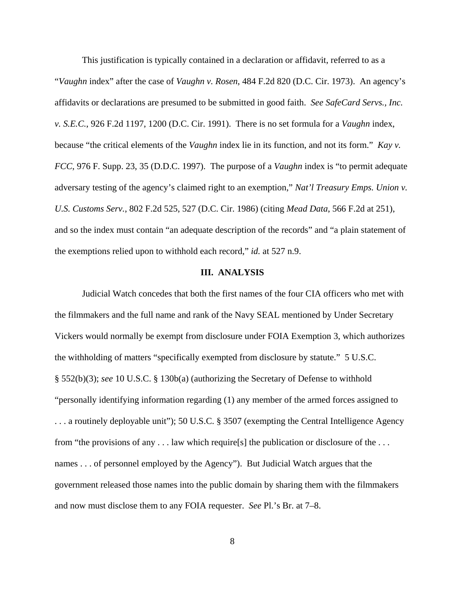This justification is typically contained in a declaration or affidavit, referred to as a "*Vaughn* index" after the case of *Vaughn v. Rosen*, 484 F.2d 820 (D.C. Cir. 1973). An agency's affidavits or declarations are presumed to be submitted in good faith. *See SafeCard Servs., Inc. v. S.E.C.*, 926 F.2d 1197, 1200 (D.C. Cir. 1991). There is no set formula for a *Vaughn* index, because "the critical elements of the *Vaughn* index lie in its function, and not its form." *Kay v. FCC*, 976 F. Supp. 23, 35 (D.D.C. 1997). The purpose of a *Vaughn* index is "to permit adequate adversary testing of the agency's claimed right to an exemption," *Nat'l Treasury Emps. Union v. U.S. Customs Serv.*, 802 F.2d 525, 527 (D.C. Cir. 1986) (citing *Mead Data*, 566 F.2d at 251), and so the index must contain "an adequate description of the records" and "a plain statement of the exemptions relied upon to withhold each record," *id.* at 527 n.9.

#### **III. ANALYSIS**

Judicial Watch concedes that both the first names of the four CIA officers who met with the filmmakers and the full name and rank of the Navy SEAL mentioned by Under Secretary Vickers would normally be exempt from disclosure under FOIA Exemption 3, which authorizes the withholding of matters "specifically exempted from disclosure by statute." 5 U.S.C. § 552(b)(3); *see* 10 U.S.C. § 130b(a) (authorizing the Secretary of Defense to withhold "personally identifying information regarding (1) any member of the armed forces assigned to . . . a routinely deployable unit"); 50 U.S.C. § 3507 (exempting the Central Intelligence Agency from "the provisions of any . . . law which require[s] the publication or disclosure of the . . . names . . . of personnel employed by the Agency"). But Judicial Watch argues that the government released those names into the public domain by sharing them with the filmmakers and now must disclose them to any FOIA requester. *See* Pl.'s Br. at 7–8.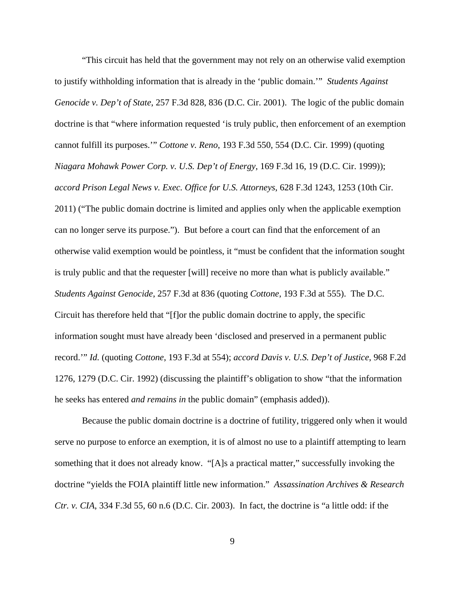"This circuit has held that the government may not rely on an otherwise valid exemption to justify withholding information that is already in the 'public domain.'" *Students Against Genocide v. Dep't of State*, 257 F.3d 828, 836 (D.C. Cir. 2001). The logic of the public domain doctrine is that "where information requested 'is truly public, then enforcement of an exemption cannot fulfill its purposes.'" *Cottone v. Reno*, 193 F.3d 550, 554 (D.C. Cir. 1999) (quoting *Niagara Mohawk Power Corp. v. U.S. Dep't of Energy*, 169 F.3d 16, 19 (D.C. Cir. 1999)); *accord Prison Legal News v. Exec. Office for U.S. Attorneys*, 628 F.3d 1243, 1253 (10th Cir. 2011) ("The public domain doctrine is limited and applies only when the applicable exemption can no longer serve its purpose."). But before a court can find that the enforcement of an otherwise valid exemption would be pointless, it "must be confident that the information sought is truly public and that the requester [will] receive no more than what is publicly available." *Students Against Genocide*, 257 F.3d at 836 (quoting *Cottone*, 193 F.3d at 555). The D.C. Circuit has therefore held that "[f]or the public domain doctrine to apply, the specific information sought must have already been 'disclosed and preserved in a permanent public record.'" *Id.* (quoting *Cottone*, 193 F.3d at 554); *accord Davis v. U.S. Dep't of Justice*, 968 F.2d 1276, 1279 (D.C. Cir. 1992) (discussing the plaintiff's obligation to show "that the information he seeks has entered *and remains in* the public domain" (emphasis added)).

Because the public domain doctrine is a doctrine of futility, triggered only when it would serve no purpose to enforce an exemption, it is of almost no use to a plaintiff attempting to learn something that it does not already know. "[A]s a practical matter," successfully invoking the doctrine "yields the FOIA plaintiff little new information." *Assassination Archives & Research Ctr. v. CIA*, 334 F.3d 55, 60 n.6 (D.C. Cir. 2003). In fact, the doctrine is "a little odd: if the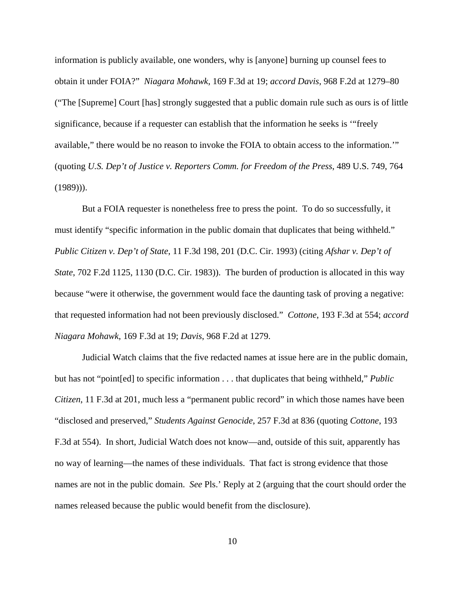information is publicly available, one wonders, why is [anyone] burning up counsel fees to obtain it under FOIA?" *Niagara Mohawk*, 169 F.3d at 19; *accord Davis*, 968 F.2d at 1279–80 ("The [Supreme] Court [has] strongly suggested that a public domain rule such as ours is of little significance, because if a requester can establish that the information he seeks is '"freely available," there would be no reason to invoke the FOIA to obtain access to the information.'" (quoting *U.S. Dep't of Justice v. Reporters Comm. for Freedom of the Press*, 489 U.S. 749, 764 (1989))).

But a FOIA requester is nonetheless free to press the point. To do so successfully, it must identify "specific information in the public domain that duplicates that being withheld." *Public Citizen v. Dep't of State*, 11 F.3d 198, 201 (D.C. Cir. 1993) (citing *Afshar v. Dep't of State*, 702 F.2d 1125, 1130 (D.C. Cir. 1983)). The burden of production is allocated in this way because "were it otherwise, the government would face the daunting task of proving a negative: that requested information had not been previously disclosed." *Cottone*, 193 F.3d at 554; *accord Niagara Mohawk*, 169 F.3d at 19; *Davis*, 968 F.2d at 1279.

Judicial Watch claims that the five redacted names at issue here are in the public domain, but has not "point[ed] to specific information . . . that duplicates that being withheld," *Public Citizen*, 11 F.3d at 201, much less a "permanent public record" in which those names have been "disclosed and preserved," *Students Against Genocide*, 257 F.3d at 836 (quoting *Cottone*, 193 F.3d at 554). In short, Judicial Watch does not know—and, outside of this suit, apparently has no way of learning—the names of these individuals. That fact is strong evidence that those names are not in the public domain. *See* Pls.' Reply at 2 (arguing that the court should order the names released because the public would benefit from the disclosure).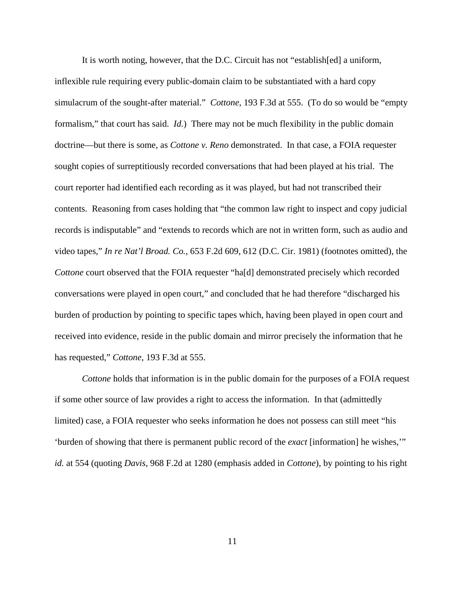It is worth noting, however, that the D.C. Circuit has not "establish[ed] a uniform, inflexible rule requiring every public-domain claim to be substantiated with a hard copy simulacrum of the sought-after material." *Cottone*, 193 F.3d at 555. (To do so would be "empty formalism," that court has said. *Id.*) There may not be much flexibility in the public domain doctrine—but there is some, as *Cottone v. Reno* demonstrated. In that case, a FOIA requester sought copies of surreptitiously recorded conversations that had been played at his trial. The court reporter had identified each recording as it was played, but had not transcribed their contents. Reasoning from cases holding that "the common law right to inspect and copy judicial records is indisputable" and "extends to records which are not in written form, such as audio and video tapes," *In re Nat'l Broad. Co.*, 653 F.2d 609, 612 (D.C. Cir. 1981) (footnotes omitted), the *Cottone* court observed that the FOIA requester "ha[d] demonstrated precisely which recorded conversations were played in open court," and concluded that he had therefore "discharged his burden of production by pointing to specific tapes which, having been played in open court and received into evidence, reside in the public domain and mirror precisely the information that he has requested," *Cottone*, 193 F.3d at 555.

*Cottone* holds that information is in the public domain for the purposes of a FOIA request if some other source of law provides a right to access the information. In that (admittedly limited) case, a FOIA requester who seeks information he does not possess can still meet "his 'burden of showing that there is permanent public record of the *exact* [information] he wishes,'" *id.* at 554 (quoting *Davis*, 968 F.2d at 1280 (emphasis added in *Cottone*), by pointing to his right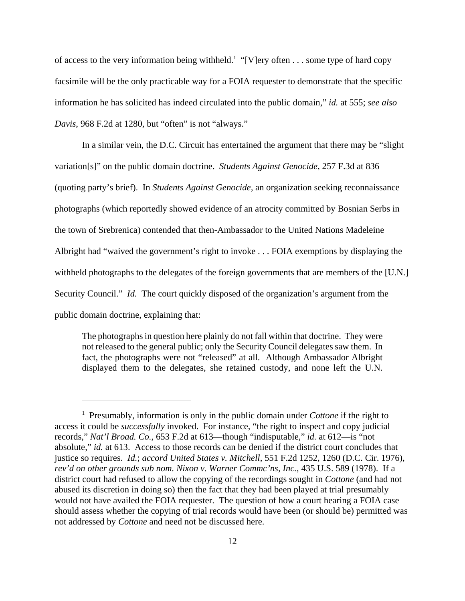of access to the very information being withheld.<sup>1</sup> "[V]ery often . . . some type of hard copy facsimile will be the only practicable way for a FOIA requester to demonstrate that the specific information he has solicited has indeed circulated into the public domain," *id.* at 555; *see also Davis*, 968 F.2d at 1280, but "often" is not "always."

In a similar vein, the D.C. Circuit has entertained the argument that there may be "slight variation[s]" on the public domain doctrine. *Students Against Genocide*, 257 F.3d at 836 (quoting party's brief). In *Students Against Genocide,* an organization seeking reconnaissance photographs (which reportedly showed evidence of an atrocity committed by Bosnian Serbs in the town of Srebrenica) contended that then-Ambassador to the United Nations Madeleine Albright had "waived the government's right to invoke . . . FOIA exemptions by displaying the withheld photographs to the delegates of the foreign governments that are members of the [U.N.] Security Council." *Id.* The court quickly disposed of the organization's argument from the public domain doctrine, explaining that:

The photographs in question here plainly do not fall within that doctrine. They were not released to the general public; only the Security Council delegates saw them. In fact, the photographs were not "released" at all. Although Ambassador Albright displayed them to the delegates, she retained custody, and none left the U.N.

<sup>&</sup>lt;sup>1</sup> Presumably, information is only in the public domain under *Cottone* if the right to access it could be *successfully* invoked. For instance, "the right to inspect and copy judicial records," *Nat'l Broad. Co.*, 653 F.2d at 613—though "indisputable," *id.* at 612—is "not absolute," *id.* at 613. Access to those records can be denied if the district court concludes that justice so requires. *Id.*; *accord United States v. Mitchell*, 551 F.2d 1252, 1260 (D.C. Cir. 1976), *rev'd on other grounds sub nom. Nixon v. Warner Commc'ns, Inc.*, 435 U.S. 589 (1978). If a district court had refused to allow the copying of the recordings sought in *Cottone* (and had not abused its discretion in doing so) then the fact that they had been played at trial presumably would not have availed the FOIA requester. The question of how a court hearing a FOIA case should assess whether the copying of trial records would have been (or should be) permitted was not addressed by *Cottone* and need not be discussed here.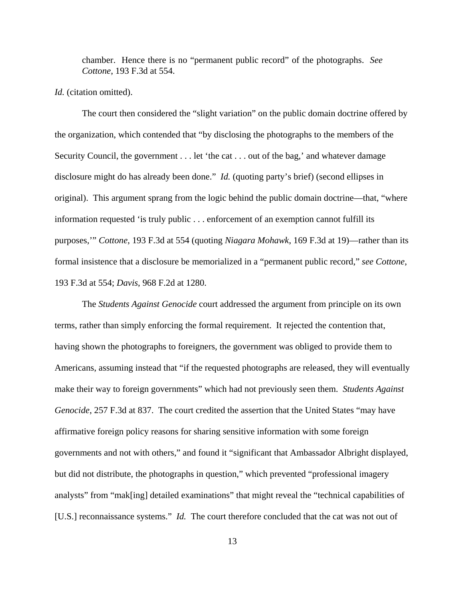chamber. Hence there is no "permanent public record" of the photographs. *See Cottone*, 193 F.3d at 554.

## *Id.* (citation omitted).

The court then considered the "slight variation" on the public domain doctrine offered by the organization, which contended that "by disclosing the photographs to the members of the Security Council, the government . . . let 'the cat . . . out of the bag,' and whatever damage disclosure might do has already been done." *Id.* (quoting party's brief) (second ellipses in original). This argument sprang from the logic behind the public domain doctrine—that, "where information requested 'is truly public . . . enforcement of an exemption cannot fulfill its purposes,'" *Cottone*, 193 F.3d at 554 (quoting *Niagara Mohawk*, 169 F.3d at 19)—rather than its formal insistence that a disclosure be memorialized in a "permanent public record," *see Cottone*, 193 F.3d at 554; *Davis*, 968 F.2d at 1280.

The *Students Against Genocide* court addressed the argument from principle on its own terms, rather than simply enforcing the formal requirement. It rejected the contention that, having shown the photographs to foreigners, the government was obliged to provide them to Americans, assuming instead that "if the requested photographs are released, they will eventually make their way to foreign governments" which had not previously seen them. *Students Against Genocide*, 257 F.3d at 837. The court credited the assertion that the United States "may have affirmative foreign policy reasons for sharing sensitive information with some foreign governments and not with others," and found it "significant that Ambassador Albright displayed, but did not distribute, the photographs in question," which prevented "professional imagery analysts" from "mak[ing] detailed examinations" that might reveal the "technical capabilities of [U.S.] reconnaissance systems." *Id.* The court therefore concluded that the cat was not out of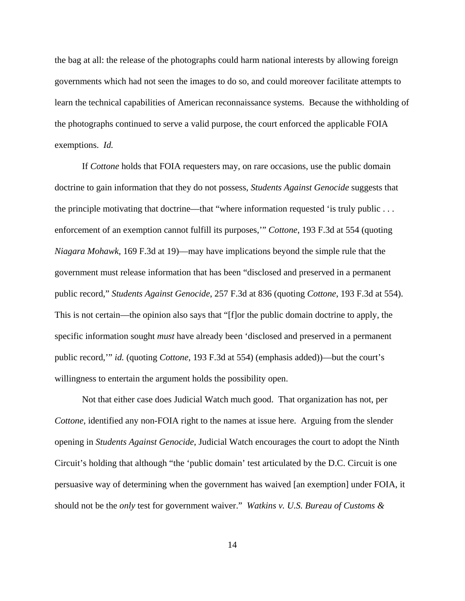the bag at all: the release of the photographs could harm national interests by allowing foreign governments which had not seen the images to do so, and could moreover facilitate attempts to learn the technical capabilities of American reconnaissance systems. Because the withholding of the photographs continued to serve a valid purpose, the court enforced the applicable FOIA exemptions. *Id.*

If *Cottone* holds that FOIA requesters may, on rare occasions, use the public domain doctrine to gain information that they do not possess, *Students Against Genocide* suggests that the principle motivating that doctrine—that "where information requested 'is truly public . . . enforcement of an exemption cannot fulfill its purposes,'" *Cottone*, 193 F.3d at 554 (quoting *Niagara Mohawk*, 169 F.3d at 19)—may have implications beyond the simple rule that the government must release information that has been "disclosed and preserved in a permanent public record," *Students Against Genocide*, 257 F.3d at 836 (quoting *Cottone*, 193 F.3d at 554). This is not certain—the opinion also says that "[f]or the public domain doctrine to apply, the specific information sought *must* have already been 'disclosed and preserved in a permanent public record,'" *id.* (quoting *Cottone*, 193 F.3d at 554) (emphasis added))—but the court's willingness to entertain the argument holds the possibility open.

Not that either case does Judicial Watch much good. That organization has not, per *Cottone*, identified any non-FOIA right to the names at issue here. Arguing from the slender opening in *Students Against Genocide*, Judicial Watch encourages the court to adopt the Ninth Circuit's holding that although "the 'public domain' test articulated by the D.C. Circuit is one persuasive way of determining when the government has waived [an exemption] under FOIA, it should not be the *only* test for government waiver." *Watkins v. U.S. Bureau of Customs &*

14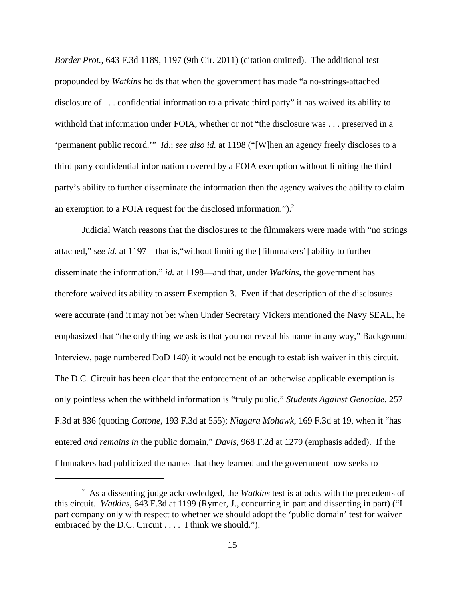*Border Prot.*, 643 F.3d 1189, 1197 (9th Cir. 2011) (citation omitted). The additional test propounded by *Watkins* holds that when the government has made "a no-strings-attached disclosure of . . . confidential information to a private third party" it has waived its ability to withhold that information under FOIA, whether or not "the disclosure was . . . preserved in a 'permanent public record.'" *Id.*; *see also id.* at 1198 ("[W]hen an agency freely discloses to a third party confidential information covered by a FOIA exemption without limiting the third party's ability to further disseminate the information then the agency waives the ability to claim an exemption to a FOIA request for the disclosed information." $)^2$ .

Judicial Watch reasons that the disclosures to the filmmakers were made with "no strings attached," *see id.* at 1197—that is,"without limiting the [filmmakers'] ability to further disseminate the information," *id.* at 1198—and that, under *Watkins*, the government has therefore waived its ability to assert Exemption 3. Even if that description of the disclosures were accurate (and it may not be: when Under Secretary Vickers mentioned the Navy SEAL, he emphasized that "the only thing we ask is that you not reveal his name in any way," Background Interview, page numbered DoD 140) it would not be enough to establish waiver in this circuit. The D.C. Circuit has been clear that the enforcement of an otherwise applicable exemption is only pointless when the withheld information is "truly public," *Students Against Genocide*, 257 F.3d at 836 (quoting *Cottone*, 193 F.3d at 555); *Niagara Mohawk*, 169 F.3d at 19, when it "has entered *and remains in* the public domain," *Davis*, 968 F.2d at 1279 (emphasis added). If the filmmakers had publicized the names that they learned and the government now seeks to

<sup>2</sup> As a dissenting judge acknowledged, the *Watkins* test is at odds with the precedents of this circuit. *Watkins*, 643 F.3d at 1199 (Rymer, J., concurring in part and dissenting in part) ("I part company only with respect to whether we should adopt the 'public domain' test for waiver embraced by the D.C. Circuit . . . . I think we should.").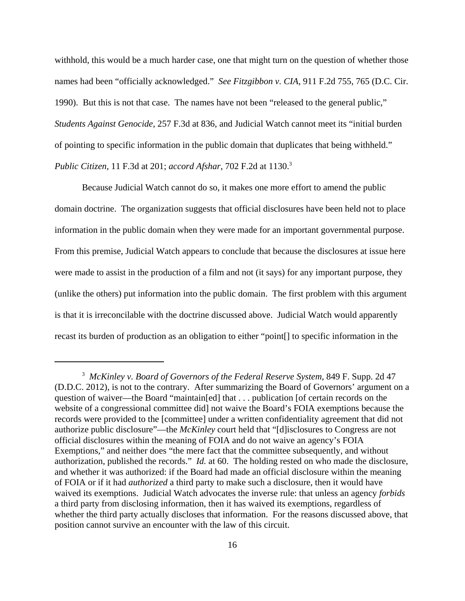withhold, this would be a much harder case, one that might turn on the question of whether those names had been "officially acknowledged." *See Fitzgibbon v. CIA*, 911 F.2d 755, 765 (D.C. Cir. 1990). But this is not that case. The names have not been "released to the general public," *Students Against Genocide*, 257 F.3d at 836, and Judicial Watch cannot meet its "initial burden of pointing to specific information in the public domain that duplicates that being withheld." *Public Citizen*, 11 F.3d at 201; *accord Afshar*, 702 F.2d at 1130.3

Because Judicial Watch cannot do so, it makes one more effort to amend the public domain doctrine. The organization suggests that official disclosures have been held not to place information in the public domain when they were made for an important governmental purpose. From this premise, Judicial Watch appears to conclude that because the disclosures at issue here were made to assist in the production of a film and not (it says) for any important purpose, they (unlike the others) put information into the public domain. The first problem with this argument is that it is irreconcilable with the doctrine discussed above. Judicial Watch would apparently recast its burden of production as an obligation to either "point[] to specific information in the

<sup>3</sup> *McKinley v. Board of Governors of the Federal Reserve System*, 849 F. Supp. 2d 47 (D.D.C. 2012), is not to the contrary. After summarizing the Board of Governors' argument on a question of waiver—the Board "maintain[ed] that . . . publication [of certain records on the website of a congressional committee did] not waive the Board's FOIA exemptions because the records were provided to the [committee] under a written confidentiality agreement that did not authorize public disclosure"—the *McKinley* court held that "[d]isclosures to Congress are not official disclosures within the meaning of FOIA and do not waive an agency's FOIA Exemptions," and neither does "the mere fact that the committee subsequently, and without authorization, published the records." *Id.* at 60. The holding rested on who made the disclosure, and whether it was authorized: if the Board had made an official disclosure within the meaning of FOIA or if it had *authorized* a third party to make such a disclosure, then it would have waived its exemptions. Judicial Watch advocates the inverse rule: that unless an agency *forbids* a third party from disclosing information, then it has waived its exemptions, regardless of whether the third party actually discloses that information. For the reasons discussed above, that position cannot survive an encounter with the law of this circuit.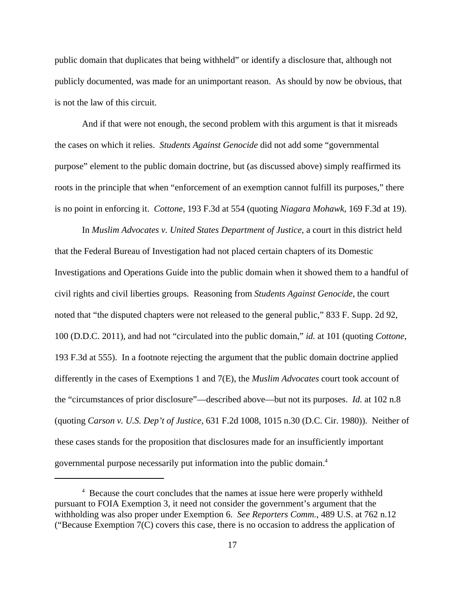public domain that duplicates that being withheld" or identify a disclosure that, although not publicly documented, was made for an unimportant reason. As should by now be obvious, that is not the law of this circuit.

And if that were not enough, the second problem with this argument is that it misreads the cases on which it relies. *Students Against Genocide* did not add some "governmental purpose" element to the public domain doctrine, but (as discussed above) simply reaffirmed its roots in the principle that when "enforcement of an exemption cannot fulfill its purposes," there is no point in enforcing it. *Cottone*, 193 F.3d at 554 (quoting *Niagara Mohawk*, 169 F.3d at 19).

In *Muslim Advocates v. United States Department of Justice*, a court in this district held that the Federal Bureau of Investigation had not placed certain chapters of its Domestic Investigations and Operations Guide into the public domain when it showed them to a handful of civil rights and civil liberties groups. Reasoning from *Students Against Genocide*, the court noted that "the disputed chapters were not released to the general public," 833 F. Supp. 2d 92, 100 (D.D.C. 2011), and had not "circulated into the public domain," *id.* at 101 (quoting *Cottone*, 193 F.3d at 555). In a footnote rejecting the argument that the public domain doctrine applied differently in the cases of Exemptions 1 and 7(E), the *Muslim Advocates* court took account of the "circumstances of prior disclosure"—described above—but not its purposes. *Id.* at 102 n.8 (quoting *Carson v. U.S. Dep't of Justice*, 631 F.2d 1008, 1015 n.30 (D.C. Cir. 1980)). Neither of these cases stands for the proposition that disclosures made for an insufficiently important governmental purpose necessarily put information into the public domain.4

<sup>&</sup>lt;sup>4</sup> Because the court concludes that the names at issue here were properly withheld pursuant to FOIA Exemption 3, it need not consider the government's argument that the withholding was also proper under Exemption 6. *See Reporters Comm.*, 489 U.S. at 762 n.12 ("Because Exemption 7(C) covers this case, there is no occasion to address the application of